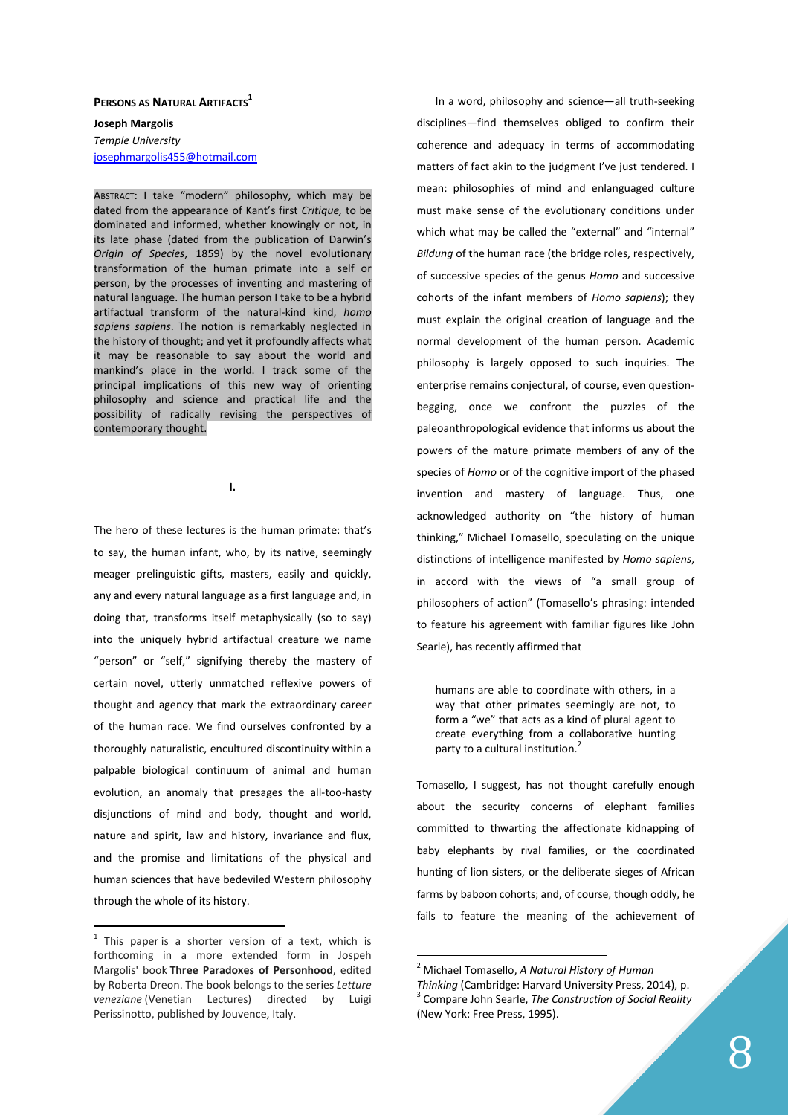## **PERSONS AS NATURAL ARTIFACTS<sup>1</sup>**

**Joseph Margolis**  *Temple University*  josephmargolis455@hotmail.com

ABSTRACT: I take "modern" philosophy, which may be dated from the appearance of Kant's first *Critique,* to be dominated and informed, whether knowingly or not, in its late phase (dated from the publication of Darwin's *Origin of Species*, 1859) by the novel evolutionary transformation of the human primate into a self or person, by the processes of inventing and mastering of natural language. The human person I take to be a hybrid artifactual transform of the natural-kind kind, *homo sapiens sapiens*. The notion is remarkably neglected in the history of thought; and yet it profoundly affects what it may be reasonable to say about the world and mankind's place in the world. I track some of the principal implications of this new way of orienting philosophy and science and practical life and the possibility of radically revising the perspectives of contemporary thought.

**I.** 

The hero of these lectures is the human primate: that's to say, the human infant, who, by its native, seemingly meager prelinguistic gifts, masters, easily and quickly, any and every natural language as a first language and, in doing that, transforms itself metaphysically (so to say) into the uniquely hybrid artifactual creature we name "person" or "self," signifying thereby the mastery of certain novel, utterly unmatched reflexive powers of thought and agency that mark the extraordinary career of the human race. We find ourselves confronted by a thoroughly naturalistic, encultured discontinuity within a palpable biological continuum of animal and human evolution, an anomaly that presages the all-too-hasty disjunctions of mind and body, thought and world, nature and spirit, law and history, invariance and flux, and the promise and limitations of the physical and human sciences that have bedeviled Western philosophy through the whole of its history.

 $\overline{a}$ 

In a word, philosophy and science—all truth-seeking disciplines—find themselves obliged to confirm their coherence and adequacy in terms of accommodating matters of fact akin to the judgment I've just tendered. I mean: philosophies of mind and enlanguaged culture must make sense of the evolutionary conditions under which what may be called the "external" and "internal" *Bildung* of the human race (the bridge roles, respectively, of successive species of the genus *Homo* and successive cohorts of the infant members of *Homo sapiens*); they must explain the original creation of language and the normal development of the human person. Academic philosophy is largely opposed to such inquiries. The enterprise remains conjectural, of course, even questionbegging, once we confront the puzzles of the paleoanthropological evidence that informs us about the powers of the mature primate members of any of the species of *Homo* or of the cognitive import of the phased invention and mastery of language. Thus, one acknowledged authority on "the history of human thinking," Michael Tomasello, speculating on the unique distinctions of intelligence manifested by *Homo sapiens*, in accord with the views of "a small group of philosophers of action" (Tomasello's phrasing: intended to feature his agreement with familiar figures like John Searle), has recently affirmed that

humans are able to coordinate with others, in a way that other primates seemingly are not, to form a "we" that acts as a kind of plural agent to create everything from a collaborative hunting party to a cultural institution.<sup>2</sup>

Tomasello, I suggest, has not thought carefully enough about the security concerns of elephant families committed to thwarting the affectionate kidnapping of baby elephants by rival families, or the coordinated hunting of lion sisters, or the deliberate sieges of African farms by baboon cohorts; and, of course, though oddly, he fails to feature the meaning of the achievement of

 $1$  This paper is a shorter version of a text, which is forthcoming in a more extended form in Jospeh Margolis' book **Three Paradoxes of Personhood**, edited by Roberta Dreon. The book belongs to the series *Letture veneziane* (Venetian Lectures) directed by Luigi Perissinotto, published by Jouvence, Italy.

<sup>2</sup> Michael Tomasello, *A Natural History of Human* 

*Thinking* (Cambridge: Harvard University Press, 2014), p. 3 Compare John Searle, *The Construction of Social Reality* (New York: Free Press, 1995).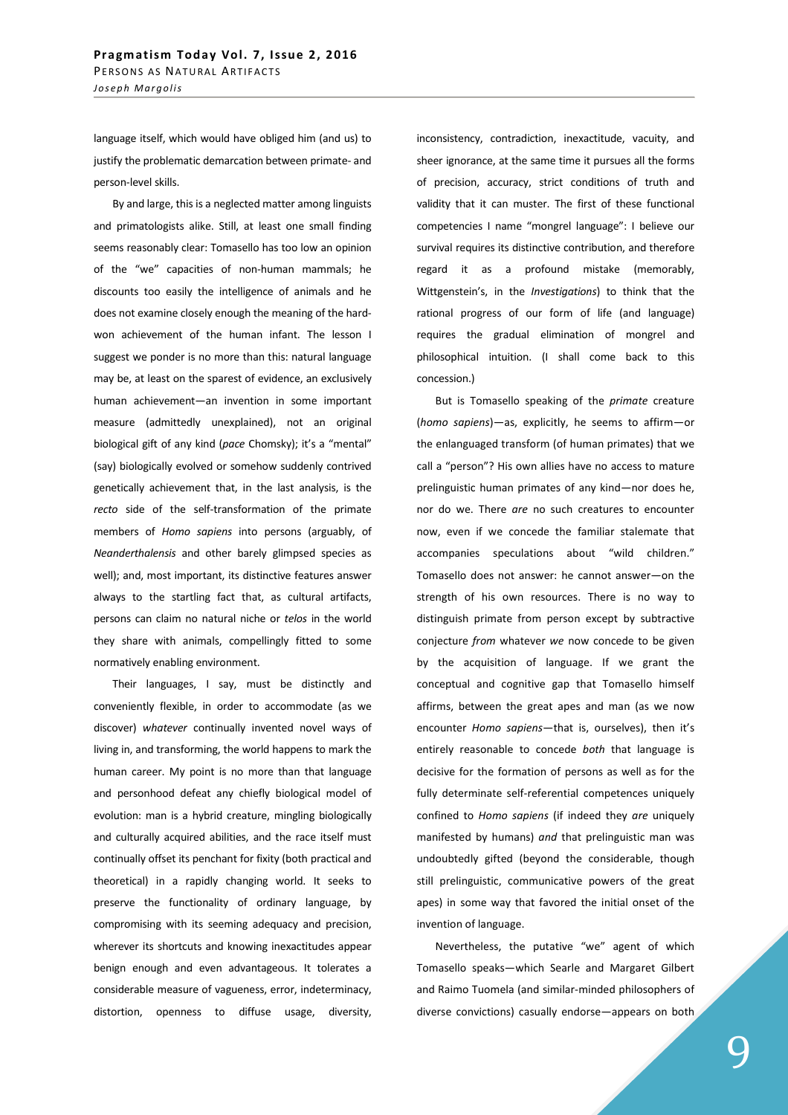language itself, which would have obliged him (and us) to justify the problematic demarcation between primate- and person-level skills.

By and large, this is a neglected matter among linguists and primatologists alike. Still, at least one small finding seems reasonably clear: Tomasello has too low an opinion of the "we" capacities of non-human mammals; he discounts too easily the intelligence of animals and he does not examine closely enough the meaning of the hardwon achievement of the human infant. The lesson I suggest we ponder is no more than this: natural language may be, at least on the sparest of evidence, an exclusively human achievement—an invention in some important measure (admittedly unexplained), not an original biological gift of any kind (*pace* Chomsky); it's a "mental" (say) biologically evolved or somehow suddenly contrived genetically achievement that, in the last analysis, is the *recto* side of the self-transformation of the primate members of *Homo sapiens* into persons (arguably, of *Neanderthalensis* and other barely glimpsed species as well); and, most important, its distinctive features answer always to the startling fact that, as cultural artifacts, persons can claim no natural niche or *telos* in the world they share with animals, compellingly fitted to some normatively enabling environment.

Their languages, I say, must be distinctly and conveniently flexible, in order to accommodate (as we discover) *whatever* continually invented novel ways of living in, and transforming, the world happens to mark the human career. My point is no more than that language and personhood defeat any chiefly biological model of evolution: man is a hybrid creature, mingling biologically and culturally acquired abilities, and the race itself must continually offset its penchant for fixity (both practical and theoretical) in a rapidly changing world. It seeks to preserve the functionality of ordinary language, by compromising with its seeming adequacy and precision, wherever its shortcuts and knowing inexactitudes appear benign enough and even advantageous. It tolerates a considerable measure of vagueness, error, indeterminacy, distortion, openness to diffuse usage, diversity,

inconsistency, contradiction, inexactitude, vacuity, and sheer ignorance, at the same time it pursues all the forms of precision, accuracy, strict conditions of truth and validity that it can muster. The first of these functional competencies I name "mongrel language": I believe our survival requires its distinctive contribution, and therefore regard it as a profound mistake (memorably, Wittgenstein's, in the *Investigations*) to think that the rational progress of our form of life (and language) requires the gradual elimination of mongrel and philosophical intuition. (I shall come back to this concession.)

But is Tomasello speaking of the *primate* creature (*homo sapiens*)—as, explicitly, he seems to affirm—or the enlanguaged transform (of human primates) that we call a "person"? His own allies have no access to mature prelinguistic human primates of any kind—nor does he, nor do we. There *are* no such creatures to encounter now, even if we concede the familiar stalemate that accompanies speculations about "wild children." Tomasello does not answer: he cannot answer—on the strength of his own resources. There is no way to distinguish primate from person except by subtractive conjecture *from* whatever *we* now concede to be given by the acquisition of language. If we grant the conceptual and cognitive gap that Tomasello himself affirms, between the great apes and man (as we now encounter *Homo sapiens*—that is, ourselves), then it's entirely reasonable to concede *both* that language is decisive for the formation of persons as well as for the fully determinate self-referential competences uniquely confined to *Homo sapiens* (if indeed they *are* uniquely manifested by humans) *and* that prelinguistic man was undoubtedly gifted (beyond the considerable, though still prelinguistic, communicative powers of the great apes) in some way that favored the initial onset of the invention of language.

Nevertheless, the putative "we" agent of which Tomasello speaks—which Searle and Margaret Gilbert and Raimo Tuomela (and similar-minded philosophers of diverse convictions) casually endorse—appears on both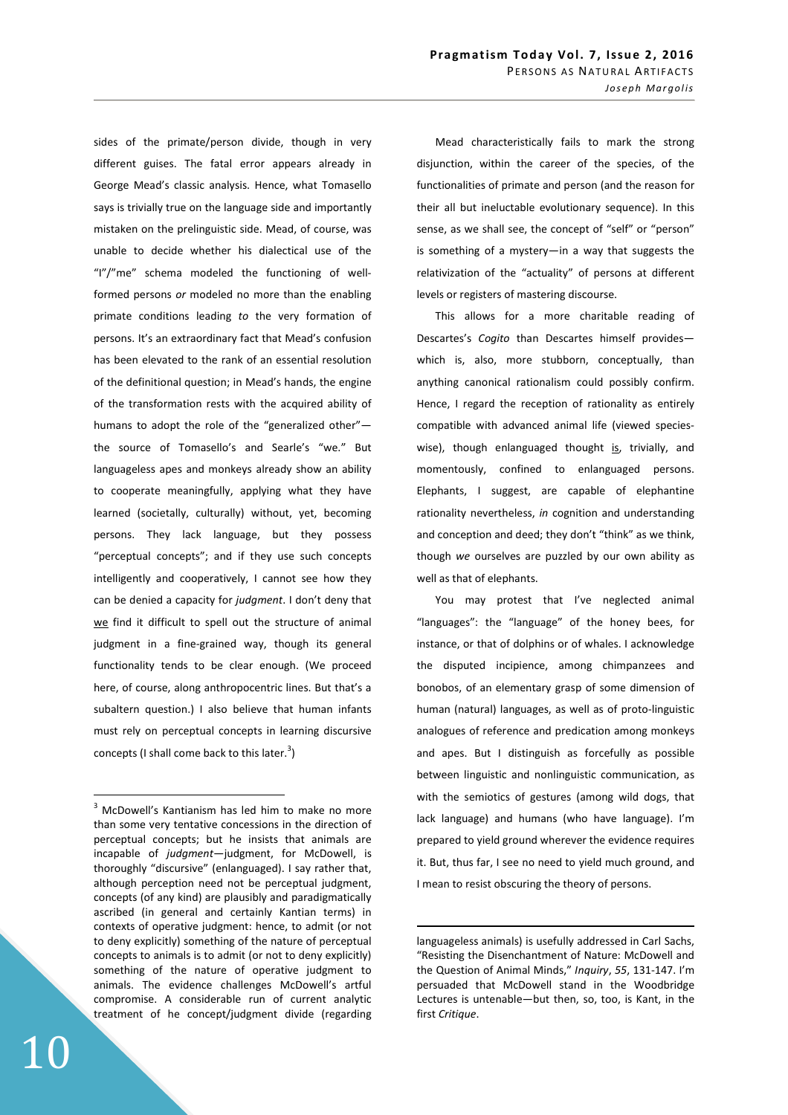sides of the primate/person divide, though in very different guises. The fatal error appears already in George Mead's classic analysis. Hence, what Tomasello says is trivially true on the language side and importantly mistaken on the prelinguistic side. Mead, of course, was unable to decide whether his dialectical use of the "I"/"me" schema modeled the functioning of wellformed persons *or* modeled no more than the enabling primate conditions leading *to* the very formation of persons. It's an extraordinary fact that Mead's confusion has been elevated to the rank of an essential resolution of the definitional question; in Mead's hands, the engine of the transformation rests with the acquired ability of humans to adopt the role of the "generalized other" the source of Tomasello's and Searle's "we." But languageless apes and monkeys already show an ability to cooperate meaningfully, applying what they have learned (societally, culturally) without, yet, becoming persons. They lack language, but they possess "perceptual concepts"; and if they use such concepts intelligently and cooperatively, I cannot see how they can be denied a capacity for *judgment*. I don't deny that we find it difficult to spell out the structure of animal judgment in a fine-grained way, though its general functionality tends to be clear enough. (We proceed here, of course, along anthropocentric lines. But that's a subaltern question.) I also believe that human infants must rely on perceptual concepts in learning discursive concepts (I shall come back to this later.<sup>3</sup>)

Mead characteristically fails to mark the strong disjunction, within the career of the species, of the functionalities of primate and person (and the reason for their all but ineluctable evolutionary sequence). In this sense, as we shall see, the concept of "self" or "person" is something of a mystery—in a way that suggests the relativization of the "actuality" of persons at different levels or registers of mastering discourse.

This allows for a more charitable reading of Descartes's *Cogito* than Descartes himself provides which is, also, more stubborn, conceptually, than anything canonical rationalism could possibly confirm. Hence, I regard the reception of rationality as entirely compatible with advanced animal life (viewed specieswise), though enlanguaged thought is, trivially, and momentously, confined to enlanguaged persons. Elephants, I suggest, are capable of elephantine rationality nevertheless, *in* cognition and understanding and conception and deed; they don't "think" as we think, though *we* ourselves are puzzled by our own ability as well as that of elephants.

You may protest that I've neglected animal "languages": the "language" of the honey bees, for instance, or that of dolphins or of whales. I acknowledge the disputed incipience, among chimpanzees and bonobos, of an elementary grasp of some dimension of human (natural) languages, as well as of proto-linguistic analogues of reference and predication among monkeys and apes. But I distinguish as forcefully as possible between linguistic and nonlinguistic communication, as with the semiotics of gestures (among wild dogs, that lack language) and humans (who have language). I'm prepared to yield ground wherever the evidence requires it. But, thus far, I see no need to yield much ground, and I mean to resist obscuring the theory of persons.

 $\overline{a}$ 

10

<sup>&</sup>lt;sup>3</sup> McDowell's Kantianism has led him to make no more than some very tentative concessions in the direction of perceptual concepts; but he insists that animals are incapable of *judgment*—judgment, for McDowell, is thoroughly "discursive" (enlanguaged). I say rather that, although perception need not be perceptual judgment, concepts (of any kind) are plausibly and paradigmatically ascribed (in general and certainly Kantian terms) in contexts of operative judgment: hence, to admit (or not to deny explicitly) something of the nature of perceptual concepts to animals is to admit (or not to deny explicitly) something of the nature of operative judgment to animals. The evidence challenges McDowell's artful compromise. A considerable run of current analytic treatment of he concept/judgment divide (regarding

languageless animals) is usefully addressed in Carl Sachs, "Resisting the Disenchantment of Nature: McDowell and the Question of Animal Minds," *Inquiry*, *55*, 131-147. I'm persuaded that McDowell stand in the Woodbridge Lectures is untenable—but then, so, too, is Kant, in the first *Critique*.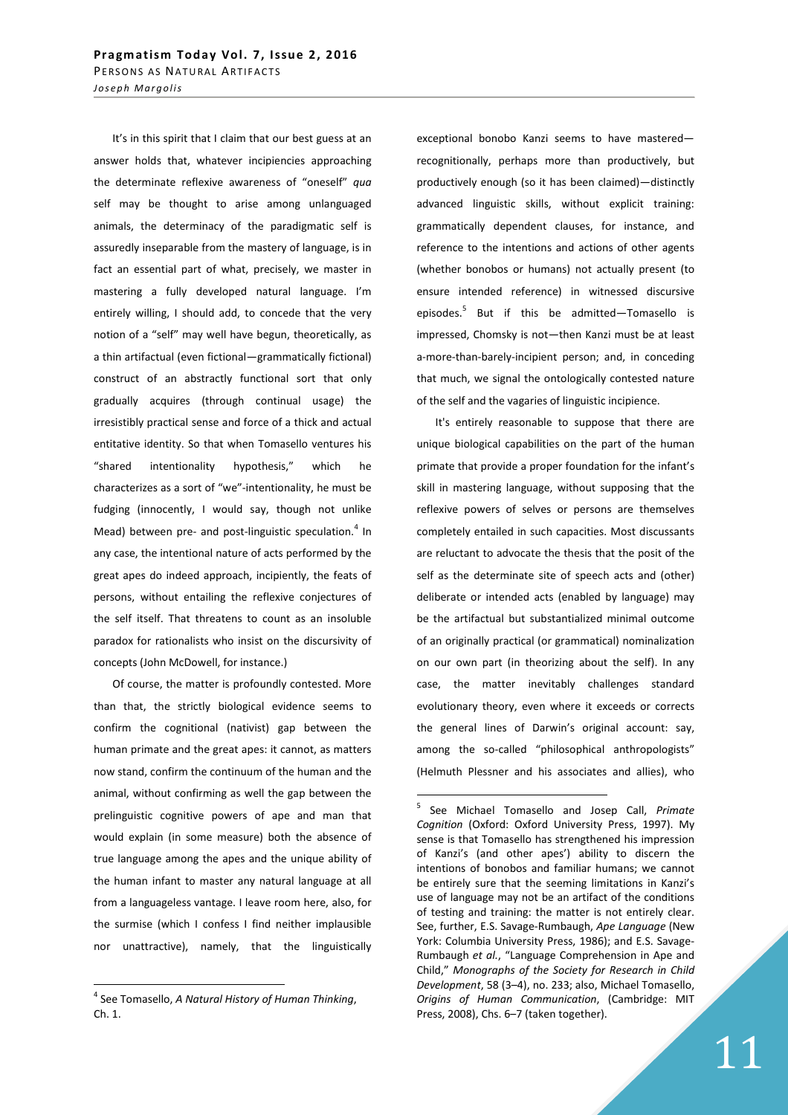It's in this spirit that I claim that our best guess at an answer holds that, whatever incipiencies approaching the determinate reflexive awareness of "oneself" *qua* self may be thought to arise among unlanguaged animals, the determinacy of the paradigmatic self is assuredly inseparable from the mastery of language, is in fact an essential part of what, precisely, we master in mastering a fully developed natural language. I'm entirely willing, I should add, to concede that the very notion of a "self" may well have begun, theoretically, as a thin artifactual (even fictional—grammatically fictional) construct of an abstractly functional sort that only gradually acquires (through continual usage) the irresistibly practical sense and force of a thick and actual entitative identity. So that when Tomasello ventures his "shared intentionality hypothesis," which he characterizes as a sort of "we"-intentionality, he must be fudging (innocently, I would say, though not unlike Mead) between pre- and post-linguistic speculation.<sup>4</sup> In any case, the intentional nature of acts performed by the great apes do indeed approach, incipiently, the feats of persons, without entailing the reflexive conjectures of the self itself. That threatens to count as an insoluble paradox for rationalists who insist on the discursivity of concepts (John McDowell, for instance.)

Of course, the matter is profoundly contested. More than that, the strictly biological evidence seems to confirm the cognitional (nativist) gap between the human primate and the great apes: it cannot, as matters now stand, confirm the continuum of the human and the animal, without confirming as well the gap between the prelinguistic cognitive powers of ape and man that would explain (in some measure) both the absence of true language among the apes and the unique ability of the human infant to master any natural language at all from a languageless vantage. I leave room here, also, for the surmise (which I confess I find neither implausible nor unattractive), namely, that the linguistically

 $\overline{a}$ 

exceptional bonobo Kanzi seems to have mastered recognitionally, perhaps more than productively, but productively enough (so it has been claimed)—distinctly advanced linguistic skills, without explicit training: grammatically dependent clauses, for instance, and reference to the intentions and actions of other agents (whether bonobos or humans) not actually present (to ensure intended reference) in witnessed discursive episodes.<sup>5</sup> But if this be admitted—Tomasello is impressed, Chomsky is not—then Kanzi must be at least a-more-than-barely-incipient person; and, in conceding that much, we signal the ontologically contested nature of the self and the vagaries of linguistic incipience.

It's entirely reasonable to suppose that there are unique biological capabilities on the part of the human primate that provide a proper foundation for the infant's skill in mastering language, without supposing that the reflexive powers of selves or persons are themselves completely entailed in such capacities. Most discussants are reluctant to advocate the thesis that the posit of the self as the determinate site of speech acts and (other) deliberate or intended acts (enabled by language) may be the artifactual but substantialized minimal outcome of an originally practical (or grammatical) nominalization on our own part (in theorizing about the self). In any case, the matter inevitably challenges standard evolutionary theory, even where it exceeds or corrects the general lines of Darwin's original account: say, among the so-called "philosophical anthropologists" (Helmuth Plessner and his associates and allies), who

<sup>4</sup> See Tomasello, *A Natural History of Human Thinking*, Ch. 1.

<sup>5</sup> See Michael Tomasello and Josep Call, *Primate Cognition* (Oxford: Oxford University Press, 1997). My sense is that Tomasello has strengthened his impression of Kanzi's (and other apes') ability to discern the intentions of bonobos and familiar humans; we cannot be entirely sure that the seeming limitations in Kanzi's use of language may not be an artifact of the conditions of testing and training: the matter is not entirely clear. See, further, E.S. Savage-Rumbaugh, *Ape Language* (New York: Columbia University Press, 1986); and E.S. Savage-Rumbaugh *et al.*, "Language Comprehension in Ape and Child," *Monographs of the Society for Research in Child Development*, 58 (3–4), no. 233; also, Michael Tomasello, *Origins of Human Communication*, (Cambridge: MIT Press, 2008), Chs. 6–7 (taken together).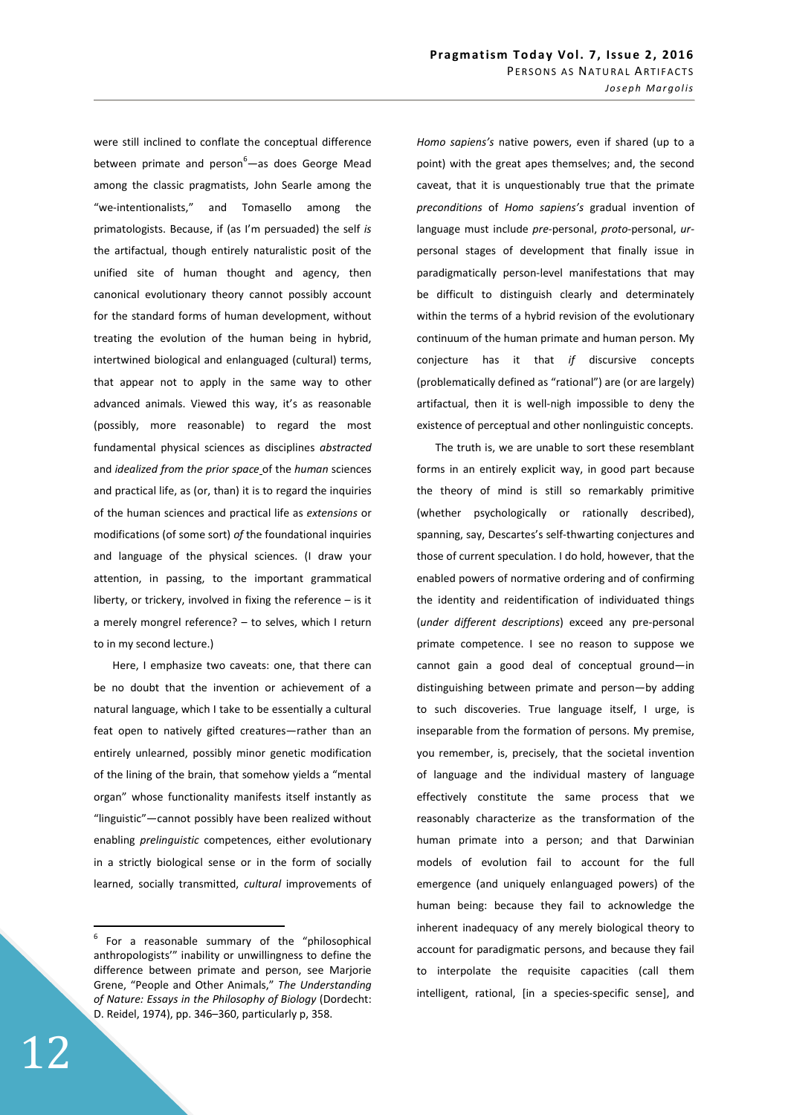were still inclined to conflate the conceptual difference between primate and person $6-$ as does George Mead among the classic pragmatists, John Searle among the "we-intentionalists," and Tomasello among the primatologists. Because, if (as I'm persuaded) the self *is* the artifactual, though entirely naturalistic posit of the unified site of human thought and agency, then canonical evolutionary theory cannot possibly account for the standard forms of human development, without treating the evolution of the human being in hybrid, intertwined biological and enlanguaged (cultural) terms, that appear not to apply in the same way to other advanced animals. Viewed this way, it's as reasonable (possibly, more reasonable) to regard the most fundamental physical sciences as disciplines *abstracted* and *idealized from the prior space* of the *human* sciences and practical life, as (or, than) it is to regard the inquiries of the human sciences and practical life as *extensions* or modifications (of some sort) *of* the foundational inquiries and language of the physical sciences. (I draw your attention, in passing, to the important grammatical liberty, or trickery, involved in fixing the reference – is it a merely mongrel reference? – to selves, which I return to in my second lecture.)

Here, I emphasize two caveats: one, that there can be no doubt that the invention or achievement of a natural language, which I take to be essentially a cultural feat open to natively gifted creatures—rather than an entirely unlearned, possibly minor genetic modification of the lining of the brain, that somehow yields a "mental organ" whose functionality manifests itself instantly as "linguistic"—cannot possibly have been realized without enabling *prelinguistic* competences, either evolutionary in a strictly biological sense or in the form of socially learned, socially transmitted, *cultural* improvements of *Homo sapiens's* native powers, even if shared (up to a point) with the great apes themselves; and, the second caveat, that it is unquestionably true that the primate *preconditions* of *Homo sapiens's* gradual invention of language must include *pre*-personal, *proto*-personal, *ur*personal stages of development that finally issue in paradigmatically person-level manifestations that may be difficult to distinguish clearly and determinately within the terms of a hybrid revision of the evolutionary continuum of the human primate and human person. My conjecture has it that *if* discursive concepts (problematically defined as "rational") are (or are largely) artifactual, then it is well-nigh impossible to deny the existence of perceptual and other nonlinguistic concepts.

The truth is, we are unable to sort these resemblant forms in an entirely explicit way, in good part because the theory of mind is still so remarkably primitive (whether psychologically or rationally described), spanning, say, Descartes's self-thwarting conjectures and those of current speculation. I do hold, however, that the enabled powers of normative ordering and of confirming the identity and reidentification of individuated things (*under different descriptions*) exceed any pre-personal primate competence. I see no reason to suppose we cannot gain a good deal of conceptual ground—in distinguishing between primate and person—by adding to such discoveries. True language itself, I urge, is inseparable from the formation of persons. My premise, you remember, is, precisely, that the societal invention of language and the individual mastery of language effectively constitute the same process that we reasonably characterize as the transformation of the human primate into a person; and that Darwinian models of evolution fail to account for the full emergence (and uniquely enlanguaged powers) of the human being: because they fail to acknowledge the inherent inadequacy of any merely biological theory to account for paradigmatic persons, and because they fail to interpolate the requisite capacities (call them intelligent, rational, [in a species-specific sense], and

 $6$  For a reasonable summary of the "philosophical anthropologists'" inability or unwillingness to define the difference between primate and person, see Marjorie Grene, "People and Other Animals," *The Understanding of Nature: Essays in the Philosophy of Biology* (Dordecht: D. Reidel, 1974), pp. 346–360, particularly p, 358.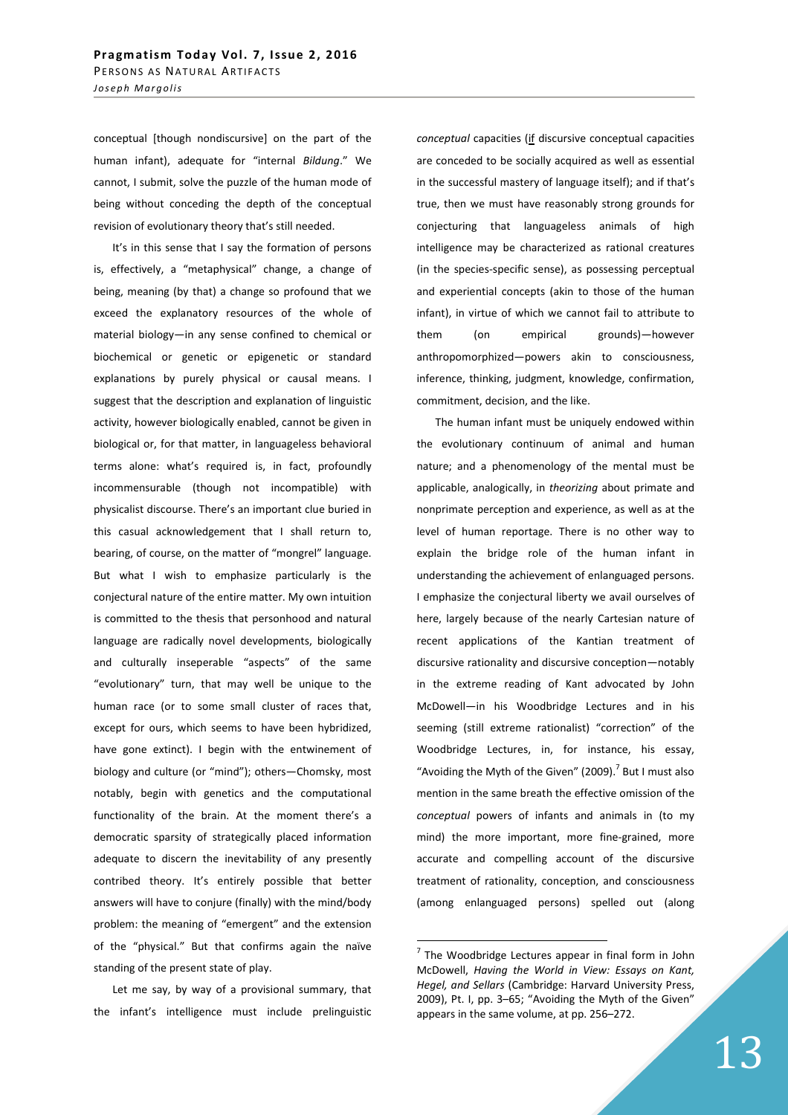conceptual [though nondiscursive] on the part of the human infant), adequate for "internal *Bildung*." We cannot, I submit, solve the puzzle of the human mode of being without conceding the depth of the conceptual revision of evolutionary theory that's still needed.

It's in this sense that I say the formation of persons is, effectively, a "metaphysical" change, a change of being, meaning (by that) a change so profound that we exceed the explanatory resources of the whole of material biology—in any sense confined to chemical or biochemical or genetic or epigenetic or standard explanations by purely physical or causal means. I suggest that the description and explanation of linguistic activity, however biologically enabled, cannot be given in biological or, for that matter, in languageless behavioral terms alone: what's required is, in fact, profoundly incommensurable (though not incompatible) with physicalist discourse. There's an important clue buried in this casual acknowledgement that I shall return to, bearing, of course, on the matter of "mongrel" language. But what I wish to emphasize particularly is the conjectural nature of the entire matter. My own intuition is committed to the thesis that personhood and natural language are radically novel developments, biologically and culturally inseperable "aspects" of the same "evolutionary" turn, that may well be unique to the human race (or to some small cluster of races that, except for ours, which seems to have been hybridized, have gone extinct). I begin with the entwinement of biology and culture (or "mind"); others—Chomsky, most notably, begin with genetics and the computational functionality of the brain. At the moment there's a democratic sparsity of strategically placed information adequate to discern the inevitability of any presently contribed theory. It's entirely possible that better answers will have to conjure (finally) with the mind/body problem: the meaning of "emergent" and the extension of the "physical." But that confirms again the naïve standing of the present state of play.

Let me say, by way of a provisional summary, that the infant's intelligence must include prelinguistic *conceptual* capacities (if discursive conceptual capacities are conceded to be socially acquired as well as essential in the successful mastery of language itself); and if that's true, then we must have reasonably strong grounds for conjecturing that languageless animals of high intelligence may be characterized as rational creatures (in the species-specific sense), as possessing perceptual and experiential concepts (akin to those of the human infant), in virtue of which we cannot fail to attribute to them (on empirical grounds)—however anthropomorphized—powers akin to consciousness, inference, thinking, judgment, knowledge, confirmation, commitment, decision, and the like.

The human infant must be uniquely endowed within the evolutionary continuum of animal and human nature; and a phenomenology of the mental must be applicable, analogically, in *theorizing* about primate and nonprimate perception and experience, as well as at the level of human reportage. There is no other way to explain the bridge role of the human infant in understanding the achievement of enlanguaged persons. I emphasize the conjectural liberty we avail ourselves of here, largely because of the nearly Cartesian nature of recent applications of the Kantian treatment of discursive rationality and discursive conception—notably in the extreme reading of Kant advocated by John McDowell—in his Woodbridge Lectures and in his seeming (still extreme rationalist) "correction" of the Woodbridge Lectures, in, for instance, his essay, "Avoiding the Myth of the Given" (2009).<sup>7</sup> But I must also mention in the same breath the effective omission of the *conceptual* powers of infants and animals in (to my mind) the more important, more fine-grained, more accurate and compelling account of the discursive treatment of rationality, conception, and consciousness (among enlanguaged persons) spelled out (along

<sup>7</sup> The Woodbridge Lectures appear in final form in John McDowell, *Having the World in View: Essays on Kant, Hegel, and Sellars* (Cambridge: Harvard University Press, 2009), Pt. I, pp. 3–65; "Avoiding the Myth of the Given" appears in the same volume, at pp. 256–272.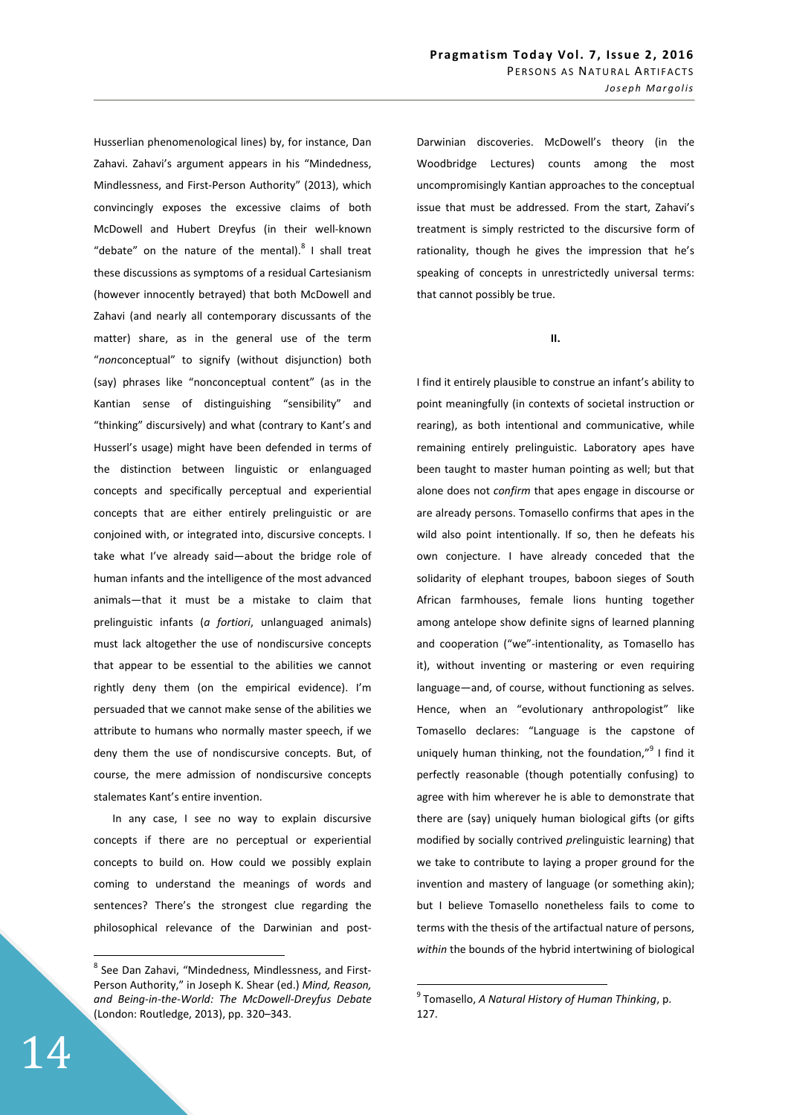Husserlian phenomenological lines) by, for instance, Dan Zahavi. Zahavi's argument appears in his "Mindedness, Mindlessness, and First-Person Authority" (2013), which convincingly exposes the excessive claims of both McDowell and Hubert Dreyfus (in their well-known "debate" on the nature of the mental). $8$  I shall treat these discussions as symptoms of a residual Cartesianism (however innocently betrayed) that both McDowell and Zahavi (and nearly all contemporary discussants of the matter) share, as in the general use of the term "*non*conceptual" to signify (without disjunction) both (say) phrases like "nonconceptual content" (as in the Kantian sense of distinguishing "sensibility" and "thinking" discursively) and what (contrary to Kant's and Husserl's usage) might have been defended in terms of the distinction between linguistic or enlanguaged concepts and specifically perceptual and experiential concepts that are either entirely prelinguistic or are conjoined with, or integrated into, discursive concepts. I take what I've already said—about the bridge role of human infants and the intelligence of the most advanced animals—that it must be a mistake to claim that prelinguistic infants (*a fortiori*, unlanguaged animals) must lack altogether the use of nondiscursive concepts that appear to be essential to the abilities we cannot rightly deny them (on the empirical evidence). I'm persuaded that we cannot make sense of the abilities we attribute to humans who normally master speech, if we deny them the use of nondiscursive concepts. But, of course, the mere admission of nondiscursive concepts stalemates Kant's entire invention.

In any case, I see no way to explain discursive concepts if there are no perceptual or experiential concepts to build on. How could we possibly explain coming to understand the meanings of words and sentences? There's the strongest clue regarding the philosophical relevance of the Darwinian and postDarwinian discoveries. McDowell's theory (in the Woodbridge Lectures) counts among the most uncompromisingly Kantian approaches to the conceptual issue that must be addressed. From the start, Zahavi's treatment is simply restricted to the discursive form of rationality, though he gives the impression that he's speaking of concepts in unrestrictedly universal terms: that cannot possibly be true.

**II.** 

I find it entirely plausible to construe an infant's ability to point meaningfully (in contexts of societal instruction or rearing), as both intentional and communicative, while remaining entirely prelinguistic. Laboratory apes have been taught to master human pointing as well; but that alone does not *confirm* that apes engage in discourse or are already persons. Tomasello confirms that apes in the wild also point intentionally. If so, then he defeats his own conjecture. I have already conceded that the solidarity of elephant troupes, baboon sieges of South African farmhouses, female lions hunting together among antelope show definite signs of learned planning and cooperation ("we"-intentionality, as Tomasello has it), without inventing or mastering or even requiring language—and, of course, without functioning as selves. Hence, when an "evolutionary anthropologist" like Tomasello declares: "Language is the capstone of uniquely human thinking, not the foundation,"<sup>9</sup> I find it perfectly reasonable (though potentially confusing) to agree with him wherever he is able to demonstrate that there are (say) uniquely human biological gifts (or gifts modified by socially contrived *pre*linguistic learning) that we take to contribute to laying a proper ground for the invention and mastery of language (or something akin); but I believe Tomasello nonetheless fails to come to terms with the thesis of the artifactual nature of persons, *within* the bounds of the hybrid intertwining of biological

 $\overline{a}$ 

<sup>&</sup>lt;sup>8</sup> See Dan Zahavi, "Mindedness, Mindlessness, and First-Person Authority," in Joseph K. Shear (ed.) *Mind, Reason, and Being-in-the-World: The McDowell-Dreyfus Debate* (London: Routledge, 2013), pp. 320–343.

<sup>9</sup> Tomasello, *A Natural History of Human Thinking*, p. 127.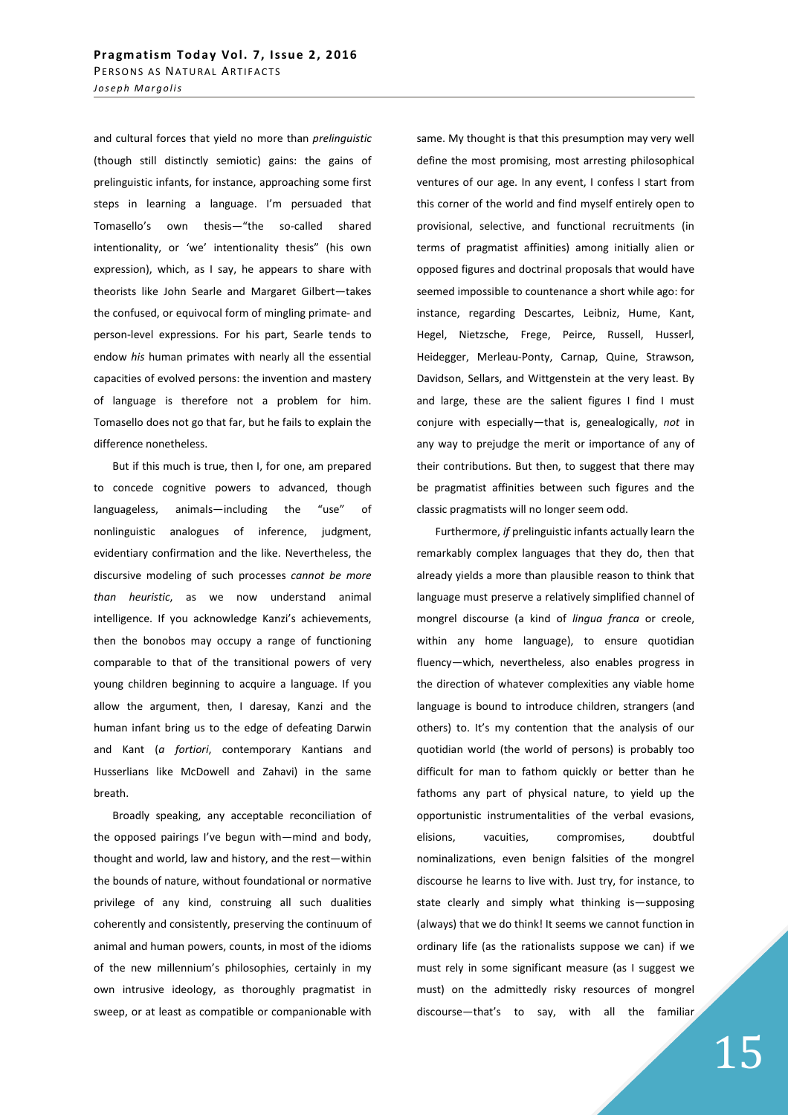and cultural forces that yield no more than *prelinguistic* (though still distinctly semiotic) gains: the gains of prelinguistic infants, for instance, approaching some first steps in learning a language. I'm persuaded that Tomasello's own thesis—"the so-called shared intentionality, or 'we' intentionality thesis" (his own expression), which, as I say, he appears to share with theorists like John Searle and Margaret Gilbert—takes the confused, or equivocal form of mingling primate- and person-level expressions. For his part, Searle tends to endow *his* human primates with nearly all the essential capacities of evolved persons: the invention and mastery of language is therefore not a problem for him. Tomasello does not go that far, but he fails to explain the difference nonetheless.

But if this much is true, then I, for one, am prepared to concede cognitive powers to advanced, though languageless, animals—including the "use" of nonlinguistic analogues of inference, judgment, evidentiary confirmation and the like. Nevertheless, the discursive modeling of such processes *cannot be more than heuristic*, as we now understand animal intelligence. If you acknowledge Kanzi's achievements, then the bonobos may occupy a range of functioning comparable to that of the transitional powers of very young children beginning to acquire a language. If you allow the argument, then, I daresay, Kanzi and the human infant bring us to the edge of defeating Darwin and Kant (*a fortiori*, contemporary Kantians and Husserlians like McDowell and Zahavi) in the same breath.

Broadly speaking, any acceptable reconciliation of the opposed pairings I've begun with—mind and body, thought and world, law and history, and the rest—within the bounds of nature, without foundational or normative privilege of any kind, construing all such dualities coherently and consistently, preserving the continuum of animal and human powers, counts, in most of the idioms of the new millennium's philosophies, certainly in my own intrusive ideology, as thoroughly pragmatist in sweep, or at least as compatible or companionable with

same. My thought is that this presumption may very well define the most promising, most arresting philosophical ventures of our age. In any event, I confess I start from this corner of the world and find myself entirely open to provisional, selective, and functional recruitments (in terms of pragmatist affinities) among initially alien or opposed figures and doctrinal proposals that would have seemed impossible to countenance a short while ago: for instance, regarding Descartes, Leibniz, Hume, Kant, Hegel, Nietzsche, Frege, Peirce, Russell, Husserl, Heidegger, Merleau-Ponty, Carnap, Quine, Strawson, Davidson, Sellars, and Wittgenstein at the very least. By and large, these are the salient figures I find I must conjure with especially—that is, genealogically, *not* in any way to prejudge the merit or importance of any of their contributions. But then, to suggest that there may be pragmatist affinities between such figures and the classic pragmatists will no longer seem odd.

Furthermore, *if* prelinguistic infants actually learn the remarkably complex languages that they do, then that already yields a more than plausible reason to think that language must preserve a relatively simplified channel of mongrel discourse (a kind of *lingua franca* or creole, within any home language), to ensure quotidian fluency—which, nevertheless, also enables progress in the direction of whatever complexities any viable home language is bound to introduce children, strangers (and others) to. It's my contention that the analysis of our quotidian world (the world of persons) is probably too difficult for man to fathom quickly or better than he fathoms any part of physical nature, to yield up the opportunistic instrumentalities of the verbal evasions, elisions, vacuities, compromises, doubtful nominalizations, even benign falsities of the mongrel discourse he learns to live with. Just try, for instance, to state clearly and simply what thinking is—supposing (always) that we do think! It seems we cannot function in ordinary life (as the rationalists suppose we can) if we must rely in some significant measure (as I suggest we must) on the admittedly risky resources of mongrel discourse—that's to say, with all the familiar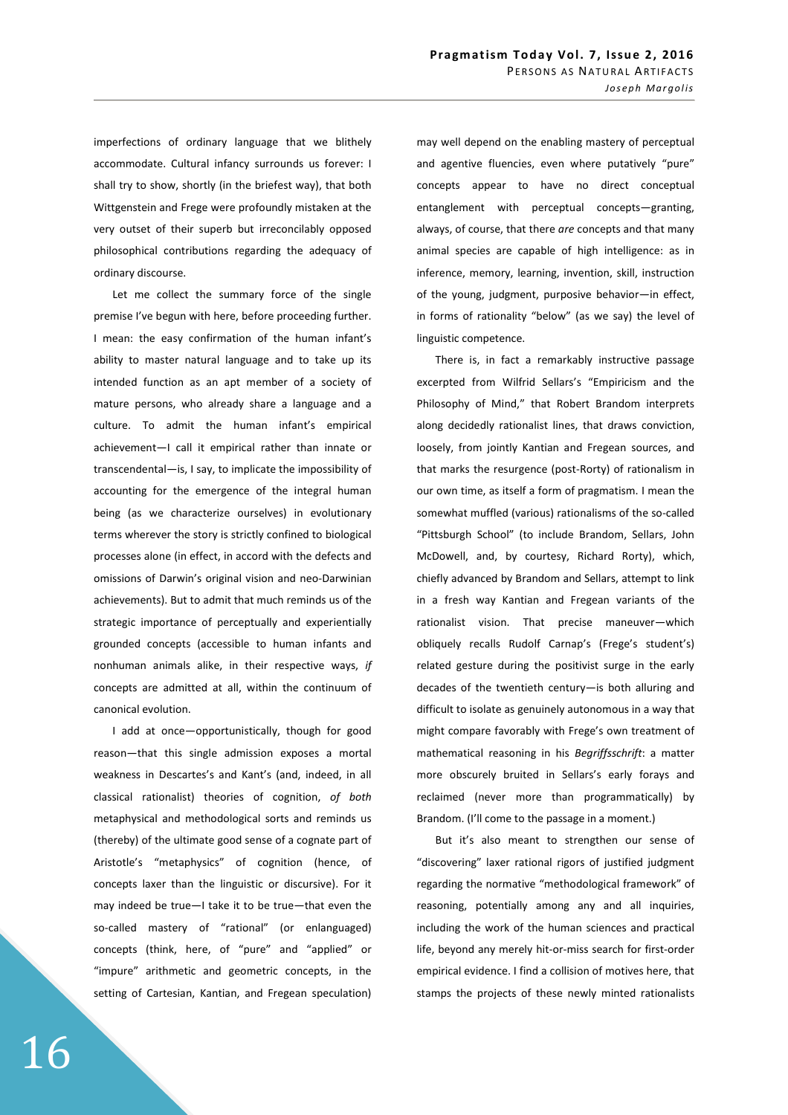imperfections of ordinary language that we blithely accommodate. Cultural infancy surrounds us forever: I shall try to show, shortly (in the briefest way), that both Wittgenstein and Frege were profoundly mistaken at the very outset of their superb but irreconcilably opposed philosophical contributions regarding the adequacy of ordinary discourse.

Let me collect the summary force of the single premise I've begun with here, before proceeding further. I mean: the easy confirmation of the human infant's ability to master natural language and to take up its intended function as an apt member of a society of mature persons, who already share a language and a culture. To admit the human infant's empirical achievement—I call it empirical rather than innate or transcendental—is, I say, to implicate the impossibility of accounting for the emergence of the integral human being (as we characterize ourselves) in evolutionary terms wherever the story is strictly confined to biological processes alone (in effect, in accord with the defects and omissions of Darwin's original vision and neo-Darwinian achievements). But to admit that much reminds us of the strategic importance of perceptually and experientially grounded concepts (accessible to human infants and nonhuman animals alike, in their respective ways, *if* concepts are admitted at all, within the continuum of canonical evolution.

I add at once—opportunistically, though for good reason—that this single admission exposes a mortal weakness in Descartes's and Kant's (and, indeed, in all classical rationalist) theories of cognition, *of both* metaphysical and methodological sorts and reminds us (thereby) of the ultimate good sense of a cognate part of Aristotle's "metaphysics" of cognition (hence, of concepts laxer than the linguistic or discursive). For it may indeed be true—I take it to be true—that even the so-called mastery of "rational" (or enlanguaged) concepts (think, here, of "pure" and "applied" or "impure" arithmetic and geometric concepts, in the setting of Cartesian, Kantian, and Fregean speculation)

may well depend on the enabling mastery of perceptual and agentive fluencies, even where putatively "pure" concepts appear to have no direct conceptual entanglement with perceptual concepts—granting, always, of course, that there *are* concepts and that many animal species are capable of high intelligence: as in inference, memory, learning, invention, skill, instruction of the young, judgment, purposive behavior—in effect, in forms of rationality "below" (as we say) the level of linguistic competence.

There is, in fact a remarkably instructive passage excerpted from Wilfrid Sellars's "Empiricism and the Philosophy of Mind," that Robert Brandom interprets along decidedly rationalist lines, that draws conviction, loosely, from jointly Kantian and Fregean sources, and that marks the resurgence (post-Rorty) of rationalism in our own time, as itself a form of pragmatism. I mean the somewhat muffled (various) rationalisms of the so-called "Pittsburgh School" (to include Brandom, Sellars, John McDowell, and, by courtesy, Richard Rorty), which, chiefly advanced by Brandom and Sellars, attempt to link in a fresh way Kantian and Fregean variants of the rationalist vision. That precise maneuver—which obliquely recalls Rudolf Carnap's (Frege's student's) related gesture during the positivist surge in the early decades of the twentieth century—is both alluring and difficult to isolate as genuinely autonomous in a way that might compare favorably with Frege's own treatment of mathematical reasoning in his *Begriffsschrift*: a matter more obscurely bruited in Sellars's early forays and reclaimed (never more than programmatically) by Brandom. (I'll come to the passage in a moment.)

But it's also meant to strengthen our sense of "discovering" laxer rational rigors of justified judgment regarding the normative "methodological framework" of reasoning, potentially among any and all inquiries, including the work of the human sciences and practical life, beyond any merely hit-or-miss search for first-order empirical evidence. I find a collision of motives here, that stamps the projects of these newly minted rationalists

16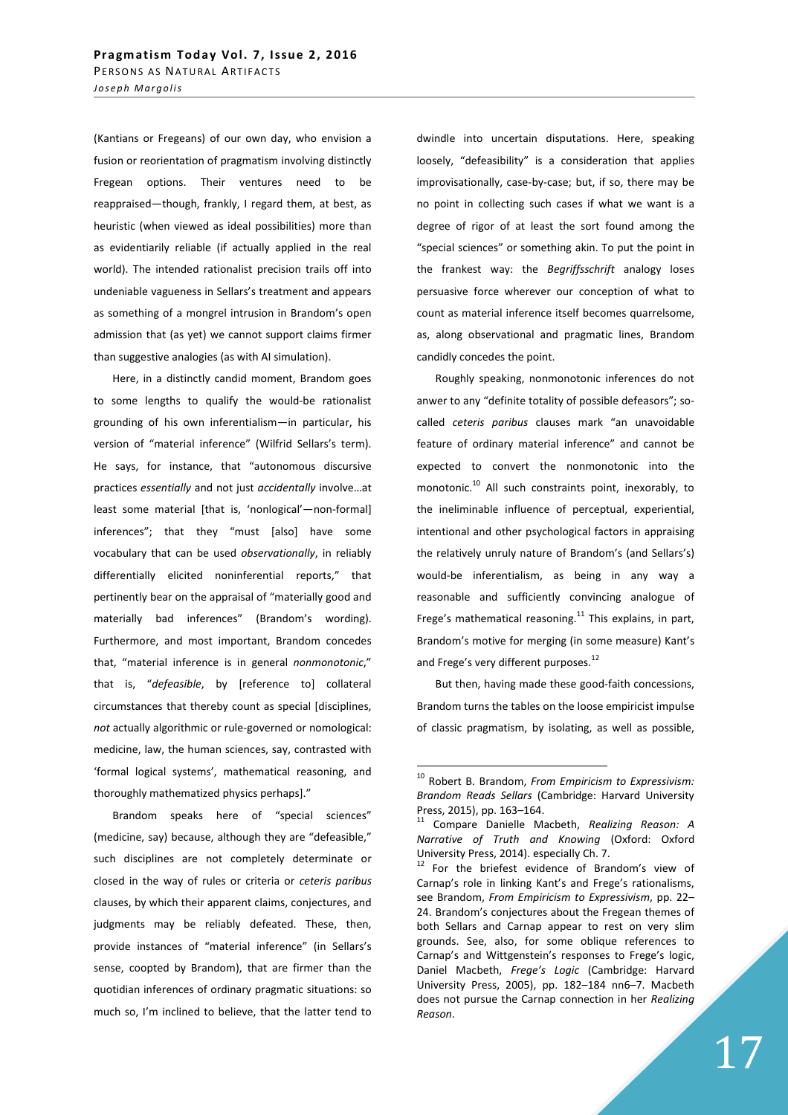(Kantians or Fregeans) of our own day, who envision a fusion or reorientation of pragmatism involving distinctly Fregean options. Their ventures need to be reappraised—though, frankly, I regard them, at best, as heuristic (when viewed as ideal possibilities) more than as evidentiarily reliable (if actually applied in the real world). The intended rationalist precision trails off into undeniable vagueness in Sellars's treatment and appears as something of a mongrel intrusion in Brandom's open admission that (as yet) we cannot support claims firmer than suggestive analogies (as with AI simulation).

Here, in a distinctly candid moment, Brandom goes to some lengths to qualify the would-be rationalist grounding of his own inferentialism—in particular, his version of "material inference" (Wilfrid Sellars's term). He says, for instance, that "autonomous discursive practices *essentially* and not just *accidentally* involve…at least some material [that is, 'nonlogical'—non-formal] inferences"; that they "must [also] have some vocabulary that can be used *observationally*, in reliably differentially elicited noninferential reports," that pertinently bear on the appraisal of "materially good and materially bad inferences" (Brandom's wording). Furthermore, and most important, Brandom concedes that, "material inference is in general *nonmonotonic*," that is, "*defeasible*, by [reference to] collateral circumstances that thereby count as special [disciplines, *not* actually algorithmic or rule-governed or nomological: medicine, law, the human sciences, say, contrasted with 'formal logical systems', mathematical reasoning, and thoroughly mathematized physics perhaps]."

Brandom speaks here of "special sciences" (medicine, say) because, although they are "defeasible," such disciplines are not completely determinate or closed in the way of rules or criteria or *ceteris paribus* clauses, by which their apparent claims, conjectures, and judgments may be reliably defeated. These, then, provide instances of "material inference" (in Sellars's sense, coopted by Brandom), that are firmer than the quotidian inferences of ordinary pragmatic situations: so much so, I'm inclined to believe, that the latter tend to

dwindle into uncertain disputations. Here, speaking loosely, "defeasibility" is a consideration that applies improvisationally, case-by-case; but, if so, there may be no point in collecting such cases if what we want is a degree of rigor of at least the sort found among the "special sciences" or something akin. To put the point in the frankest way: the *Begriffsschrift* analogy loses persuasive force wherever our conception of what to count as material inference itself becomes quarrelsome, as, along observational and pragmatic lines, Brandom candidly concedes the point.

Roughly speaking, nonmonotonic inferences do not anwer to any "definite totality of possible defeasors"; socalled *ceteris paribus* clauses mark "an unavoidable feature of ordinary material inference" and cannot be expected to convert the nonmonotonic into the monotonic.<sup>10</sup> All such constraints point, inexorably, to the ineliminable influence of perceptual, experiential, intentional and other psychological factors in appraising the relatively unruly nature of Brandom's (and Sellars's) would-be inferentialism, as being in any way a reasonable and sufficiently convincing analogue of Frege's mathematical reasoning. $^{11}$  This explains, in part, Brandom's motive for merging (in some measure) Kant's and Frege's very different purposes. $^{12}$ 

But then, having made these good-faith concessions, Brandom turns the tables on the loose empiricist impulse of classic pragmatism, by isolating, as well as possible,

<sup>10</sup> Robert B. Brandom, *From Empiricism to Expressivism: Brandom Reads Sellars* (Cambridge: Harvard University Press, 2015), pp. 163–164.

<sup>11</sup> Compare Danielle Macbeth, *Realizing Reason: A Narrative of Truth and Knowing* (Oxford: Oxford University Press, 2014). especially Ch. 7.

<sup>&</sup>lt;sup>12</sup> For the briefest evidence of Brandom's view of Carnap's role in linking Kant's and Frege's rationalisms, see Brandom, *From Empiricism to Expressivism*, pp. 22– 24. Brandom's conjectures about the Fregean themes of both Sellars and Carnap appear to rest on very slim grounds. See, also, for some oblique references to Carnap's and Wittgenstein's responses to Frege's logic, Daniel Macbeth, *Frege's Logic* (Cambridge: Harvard University Press, 2005), pp. 182–184 nn6–7. Macbeth does not pursue the Carnap connection in her *Realizing Reason*.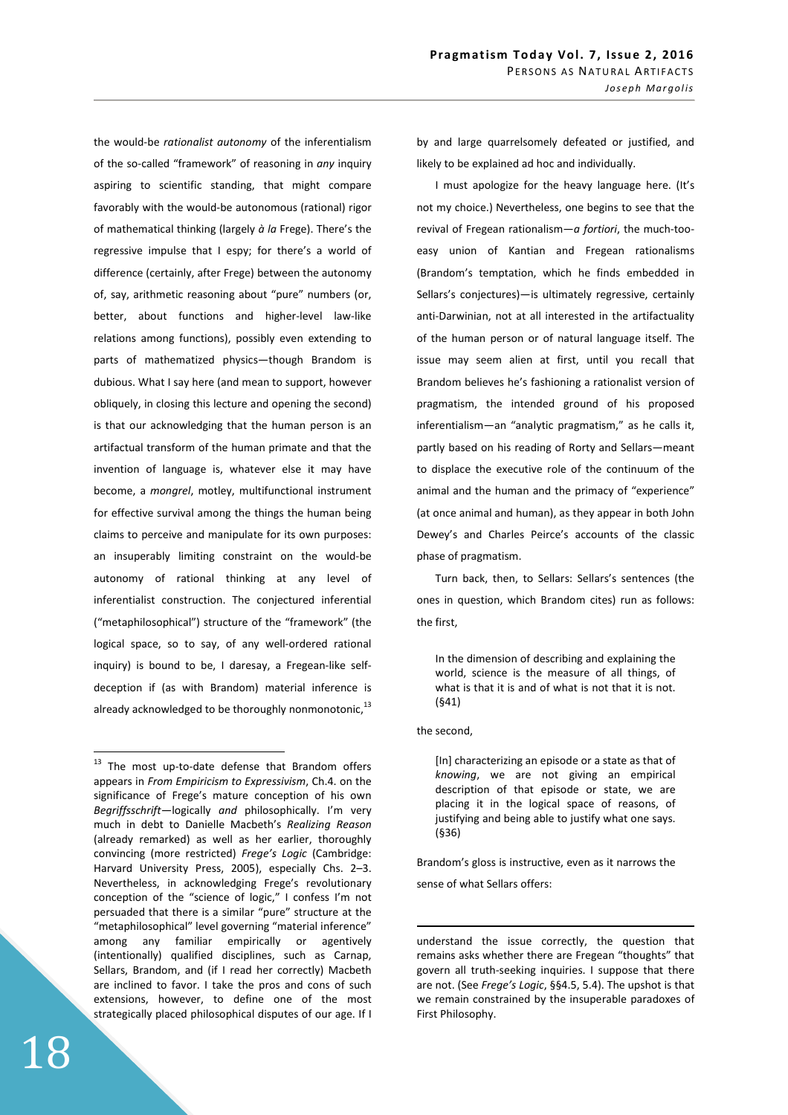the would-be *rationalist autonomy* of the inferentialism of the so-called "framework" of reasoning in *any* inquiry aspiring to scientific standing, that might compare favorably with the would-be autonomous (rational) rigor of mathematical thinking (largely *à la* Frege). There's the regressive impulse that I espy; for there's a world of difference (certainly, after Frege) between the autonomy of, say, arithmetic reasoning about "pure" numbers (or, better, about functions and higher-level law-like relations among functions), possibly even extending to parts of mathematized physics—though Brandom is dubious. What I say here (and mean to support, however obliquely, in closing this lecture and opening the second) is that our acknowledging that the human person is an artifactual transform of the human primate and that the invention of language is, whatever else it may have become, a *mongrel*, motley, multifunctional instrument for effective survival among the things the human being claims to perceive and manipulate for its own purposes: an insuperably limiting constraint on the would-be autonomy of rational thinking at any level of inferentialist construction. The conjectured inferential ("metaphilosophical") structure of the "framework" (the logical space, so to say, of any well-ordered rational inquiry) is bound to be, I daresay, a Fregean-like selfdeception if (as with Brandom) material inference is already acknowledged to be thoroughly nonmonotonic.<sup>13</sup>

by and large quarrelsomely defeated or justified, and likely to be explained ad hoc and individually.

I must apologize for the heavy language here. (It's not my choice.) Nevertheless, one begins to see that the revival of Fregean rationalism—*a fortiori*, the much-tooeasy union of Kantian and Fregean rationalisms (Brandom's temptation, which he finds embedded in Sellars's conjectures)—is ultimately regressive, certainly anti-Darwinian, not at all interested in the artifactuality of the human person or of natural language itself. The issue may seem alien at first, until you recall that Brandom believes he's fashioning a rationalist version of pragmatism, the intended ground of his proposed inferentialism—an "analytic pragmatism," as he calls it, partly based on his reading of Rorty and Sellars—meant to displace the executive role of the continuum of the animal and the human and the primacy of "experience" (at once animal and human), as they appear in both John Dewey's and Charles Peirce's accounts of the classic phase of pragmatism.

Turn back, then, to Sellars: Sellars's sentences (the ones in question, which Brandom cites) run as follows: the first,

In the dimension of describing and explaining the world, science is the measure of all things, of what is that it is and of what is not that it is not. (§41)

the second,

 $\overline{a}$ 

[In] characterizing an episode or a state as that of *knowing*, we are not giving an empirical description of that episode or state, we are placing it in the logical space of reasons, of justifying and being able to justify what one says. (§36)

Brandom's gloss is instructive, even as it narrows the sense of what Sellars offers:

<sup>&</sup>lt;sup>13</sup> The most up-to-date defense that Brandom offers appears in *From Empiricism to Expressivism*, Ch.4. on the significance of Frege's mature conception of his own *Begriffsschrift*—logically *and* philosophically. I'm very much in debt to Danielle Macbeth's *Realizing Reason* (already remarked) as well as her earlier, thoroughly convincing (more restricted) *Frege's Logic* (Cambridge: Harvard University Press, 2005), especially Chs. 2–3. Nevertheless, in acknowledging Frege's revolutionary conception of the "science of logic," I confess I'm not persuaded that there is a similar "pure" structure at the "metaphilosophical" level governing "material inference" among any familiar empirically or agentively (intentionally) qualified disciplines, such as Carnap, Sellars, Brandom, and (if I read her correctly) Macbeth are inclined to favor. I take the pros and cons of such extensions, however, to define one of the most strategically placed philosophical disputes of our age. If I

understand the issue correctly, the question that remains asks whether there are Fregean "thoughts" that govern all truth-seeking inquiries. I suppose that there are not. (See *Frege's Logic*, §§4.5, 5.4). The upshot is that we remain constrained by the insuperable paradoxes of First Philosophy.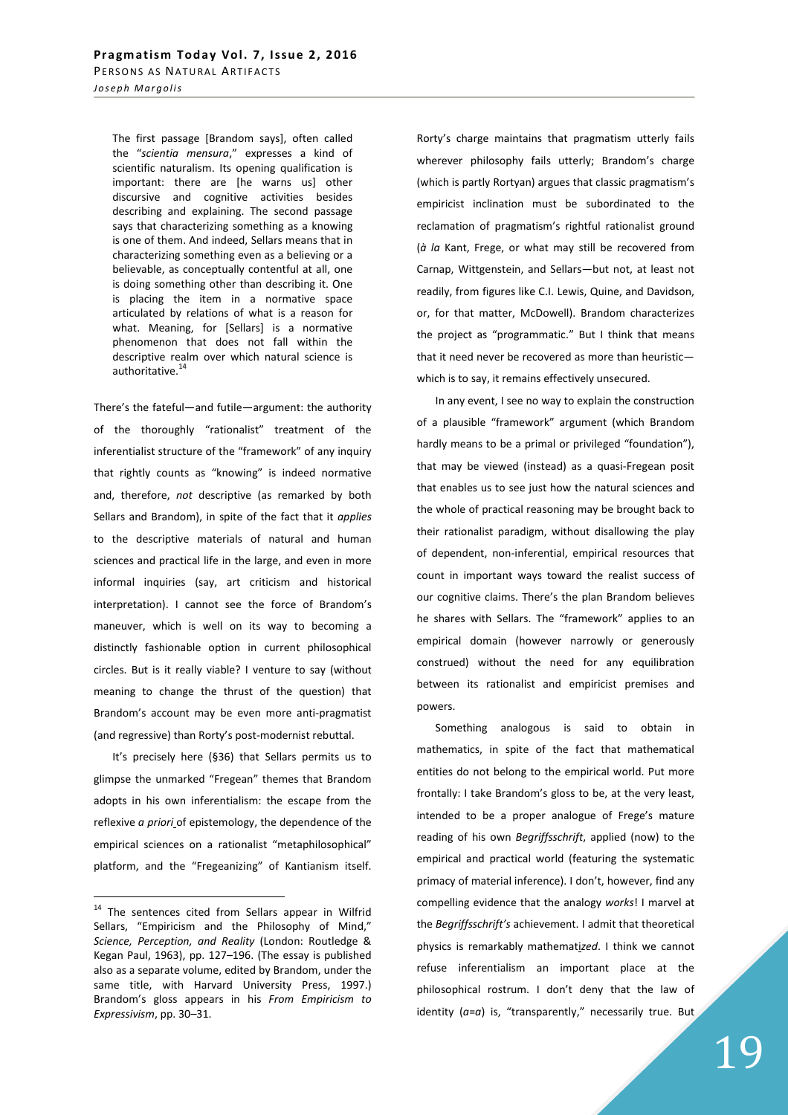The first passage [Brandom says], often called the "*scientia mensura*," expresses a kind of scientific naturalism. Its opening qualification is important: there are [he warns us] other discursive and cognitive activities besides describing and explaining. The second passage says that characterizing something as a knowing is one of them. And indeed, Sellars means that in characterizing something even as a believing or a believable, as conceptually contentful at all, one is doing something other than describing it. One is placing the item in a normative space articulated by relations of what is a reason for what. Meaning, for [Sellars] is a normative phenomenon that does not fall within the descriptive realm over which natural science is authoritative. $^{14}$ 

There's the fateful—and futile—argument: the authority of the thoroughly "rationalist" treatment of the inferentialist structure of the "framework" of any inquiry that rightly counts as "knowing" is indeed normative and, therefore, *not* descriptive (as remarked by both Sellars and Brandom), in spite of the fact that it *applies* to the descriptive materials of natural and human sciences and practical life in the large, and even in more informal inquiries (say, art criticism and historical interpretation). I cannot see the force of Brandom's maneuver, which is well on its way to becoming a distinctly fashionable option in current philosophical circles. But is it really viable? I venture to say (without meaning to change the thrust of the question) that Brandom's account may be even more anti-pragmatist (and regressive) than Rorty's post-modernist rebuttal.

It's precisely here (§36) that Sellars permits us to glimpse the unmarked "Fregean" themes that Brandom adopts in his own inferentialism: the escape from the reflexive *a priori* of epistemology, the dependence of the empirical sciences on a rationalist "metaphilosophical" platform, and the "Fregeanizing" of Kantianism itself.

 $\overline{a}$ 

Rorty's charge maintains that pragmatism utterly fails wherever philosophy fails utterly; Brandom's charge (which is partly Rortyan) argues that classic pragmatism's empiricist inclination must be subordinated to the reclamation of pragmatism's rightful rationalist ground (*à la* Kant, Frege, or what may still be recovered from Carnap, Wittgenstein, and Sellars—but not, at least not readily, from figures like C.I. Lewis, Quine, and Davidson, or, for that matter, McDowell). Brandom characterizes the project as "programmatic." But I think that means that it need never be recovered as more than heuristic which is to say, it remains effectively unsecured.

In any event, I see no way to explain the construction of a plausible "framework" argument (which Brandom hardly means to be a primal or privileged "foundation"), that may be viewed (instead) as a quasi-Fregean posit that enables us to see just how the natural sciences and the whole of practical reasoning may be brought back to their rationalist paradigm, without disallowing the play of dependent, non-inferential, empirical resources that count in important ways toward the realist success of our cognitive claims. There's the plan Brandom believes he shares with Sellars. The "framework" applies to an empirical domain (however narrowly or generously construed) without the need for any equilibration between its rationalist and empiricist premises and powers.

Something analogous is said to obtain in mathematics, in spite of the fact that mathematical entities do not belong to the empirical world. Put more frontally: I take Brandom's gloss to be, at the very least, intended to be a proper analogue of Frege's mature reading of his own *Begriffsschrift*, applied (now) to the empirical and practical world (featuring the systematic primacy of material inference). I don't, however, find any compelling evidence that the analogy *works*! I marvel at the *Begriffsschrift's* achievement. I admit that theoretical physics is remarkably mathemati*zed*. I think we cannot refuse inferentialism an important place at the philosophical rostrum. I don't deny that the law of identity (*a*=*a*) is, "transparently," necessarily true. But

 $14$  The sentences cited from Sellars appear in Wilfrid Sellars, "Empiricism and the Philosophy of Mind," *Science, Perception, and Reality* (London: Routledge & Kegan Paul, 1963), pp. 127–196. (The essay is published also as a separate volume, edited by Brandom, under the same title, with Harvard University Press, 1997.) Brandom's gloss appears in his *From Empiricism to Expressivism*, pp. 30–31.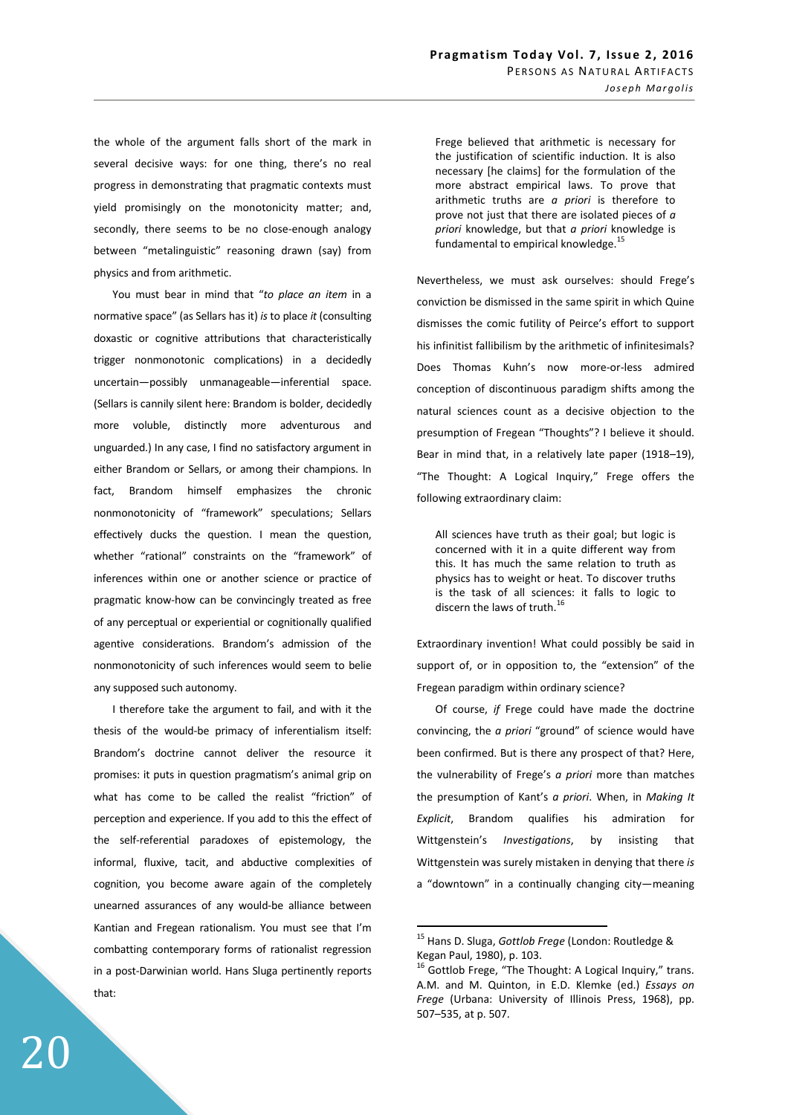the whole of the argument falls short of the mark in several decisive ways: for one thing, there's no real progress in demonstrating that pragmatic contexts must yield promisingly on the monotonicity matter; and, secondly, there seems to be no close-enough analogy between "metalinguistic" reasoning drawn (say) from physics and from arithmetic.

You must bear in mind that "*to place an item* in a normative space" (as Sellars has it) *is* to place *it* (consulting doxastic or cognitive attributions that characteristically trigger nonmonotonic complications) in a decidedly uncertain—possibly unmanageable—inferential space. (Sellars is cannily silent here: Brandom is bolder, decidedly more voluble, distinctly more adventurous and unguarded.) In any case, I find no satisfactory argument in either Brandom or Sellars, or among their champions. In fact, Brandom himself emphasizes the chronic nonmonotonicity of "framework" speculations; Sellars effectively ducks the question. I mean the question, whether "rational" constraints on the "framework" of inferences within one or another science or practice of pragmatic know-how can be convincingly treated as free of any perceptual or experiential or cognitionally qualified agentive considerations. Brandom's admission of the nonmonotonicity of such inferences would seem to belie any supposed such autonomy.

I therefore take the argument to fail, and with it the thesis of the would-be primacy of inferentialism itself: Brandom's doctrine cannot deliver the resource it promises: it puts in question pragmatism's animal grip on what has come to be called the realist "friction" of perception and experience. If you add to this the effect of the self-referential paradoxes of epistemology, the informal, fluxive, tacit, and abductive complexities of cognition, you become aware again of the completely unearned assurances of any would-be alliance between Kantian and Fregean rationalism. You must see that I'm combatting contemporary forms of rationalist regression in a post-Darwinian world. Hans Sluga pertinently reports that:

Frege believed that arithmetic is necessary for the justification of scientific induction. It is also necessary [he claims] for the formulation of the more abstract empirical laws. To prove that arithmetic truths are *a priori* is therefore to prove not just that there are isolated pieces of *a priori* knowledge, but that *a priori* knowledge is fundamental to empirical knowledge.<sup>15</sup>

Nevertheless, we must ask ourselves: should Frege's conviction be dismissed in the same spirit in which Quine dismisses the comic futility of Peirce's effort to support his infinitist fallibilism by the arithmetic of infinitesimals? Does Thomas Kuhn's now more-or-less admired conception of discontinuous paradigm shifts among the natural sciences count as a decisive objection to the presumption of Fregean "Thoughts"? I believe it should. Bear in mind that, in a relatively late paper (1918–19), "The Thought: A Logical Inquiry," Frege offers the following extraordinary claim:

All sciences have truth as their goal; but logic is concerned with it in a quite different way from this. It has much the same relation to truth as physics has to weight or heat. To discover truths is the task of all sciences: it falls to logic to discern the laws of truth.<sup>16</sup>

Extraordinary invention! What could possibly be said in support of, or in opposition to, the "extension" of the Fregean paradigm within ordinary science?

Of course, *if* Frege could have made the doctrine convincing, the *a priori* "ground" of science would have been confirmed. But is there any prospect of that? Here, the vulnerability of Frege's *a priori* more than matches the presumption of Kant's *a priori*. When, in *Making It Explicit*, Brandom qualifies his admiration for Wittgenstein's *Investigations*, by insisting that Wittgenstein was surely mistaken in denying that there *is* a "downtown" in a continually changing city—meaning

<sup>15</sup> Hans D. Sluga, *Gottlob Frege* (London: Routledge & Kegan Paul, 1980), p. 103.

 $^{16}$  Gottlob Frege, "The Thought: A Logical Inquiry," trans. A.M. and M. Quinton, in E.D. Klemke (ed.) *Essays on Frege* (Urbana: University of Illinois Press, 1968), pp. 507–535, at p. 507.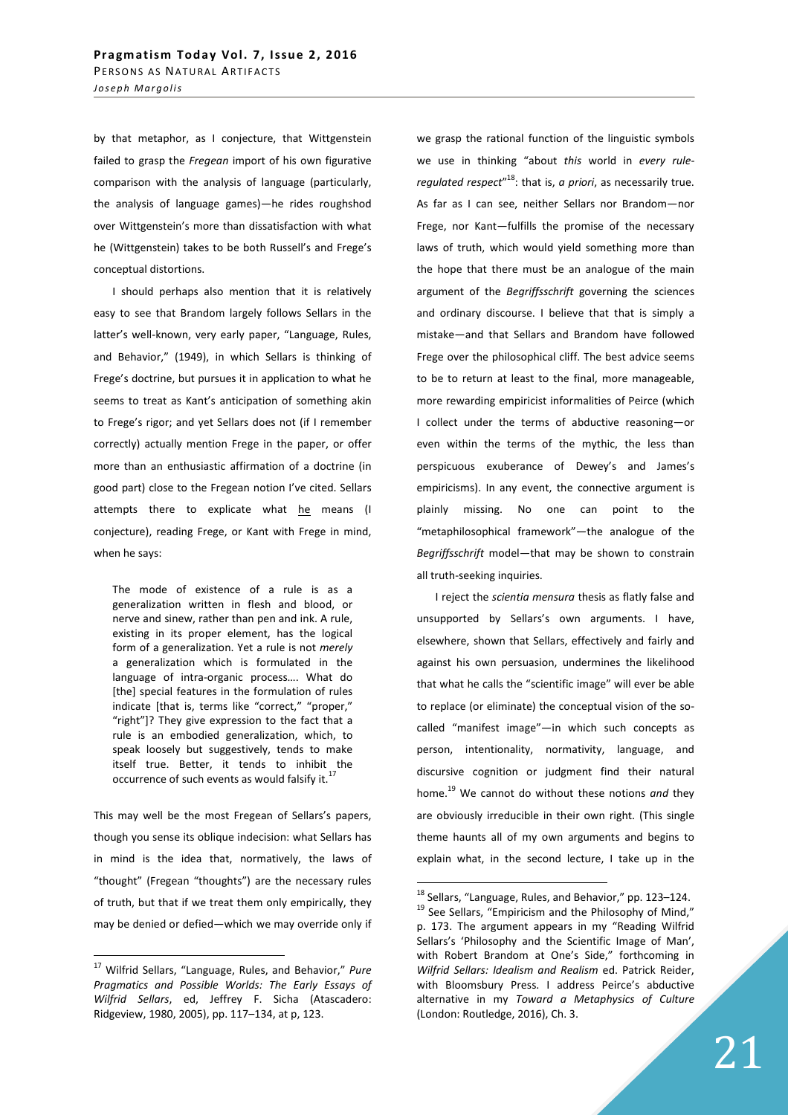by that metaphor, as I conjecture, that Wittgenstein failed to grasp the *Fregean* import of his own figurative comparison with the analysis of language (particularly, the analysis of language games)—he rides roughshod over Wittgenstein's more than dissatisfaction with what he (Wittgenstein) takes to be both Russell's and Frege's conceptual distortions.

I should perhaps also mention that it is relatively easy to see that Brandom largely follows Sellars in the latter's well-known, very early paper, "Language, Rules, and Behavior," (1949), in which Sellars is thinking of Frege's doctrine, but pursues it in application to what he seems to treat as Kant's anticipation of something akin to Frege's rigor; and yet Sellars does not (if I remember correctly) actually mention Frege in the paper, or offer more than an enthusiastic affirmation of a doctrine (in good part) close to the Fregean notion I've cited. Sellars attempts there to explicate what he means (I conjecture), reading Frege, or Kant with Frege in mind, when he says:

The mode of existence of a rule is as a generalization written in flesh and blood, or nerve and sinew, rather than pen and ink. A rule, existing in its proper element, has the logical form of a generalization. Yet a rule is not *merely* a generalization which is formulated in the language of intra-organic process…. What do [the] special features in the formulation of rules indicate [that is, terms like "correct," "proper," "right"]? They give expression to the fact that a rule is an embodied generalization, which, to speak loosely but suggestively, tends to make itself true. Better, it tends to inhibit the occurrence of such events as would falsify it.<sup>17</sup>

This may well be the most Fregean of Sellars's papers, though you sense its oblique indecision: what Sellars has in mind is the idea that, normatively, the laws of "thought" (Fregean "thoughts") are the necessary rules of truth, but that if we treat them only empirically, they may be denied or defied—which we may override only if

 $\overline{a}$ 

we grasp the rational function of the linguistic symbols we use in thinking "about *this* world in *every rule*regulated respect"<sup>18</sup>: that is, *a priori*, as necessarily true. As far as I can see, neither Sellars nor Brandom—nor Frege, nor Kant—fulfills the promise of the necessary laws of truth, which would yield something more than the hope that there must be an analogue of the main argument of the *Begriffsschrift* governing the sciences and ordinary discourse. I believe that that is simply a mistake—and that Sellars and Brandom have followed Frege over the philosophical cliff. The best advice seems to be to return at least to the final, more manageable, more rewarding empiricist informalities of Peirce (which I collect under the terms of abductive reasoning—or even within the terms of the mythic, the less than perspicuous exuberance of Dewey's and James's empiricisms). In any event, the connective argument is plainly missing. No one can point to the "metaphilosophical framework"—the analogue of the *Begriffsschrift* model—that may be shown to constrain all truth-seeking inquiries.

I reject the *scientia mensura* thesis as flatly false and unsupported by Sellars's own arguments. I have, elsewhere, shown that Sellars, effectively and fairly and against his own persuasion, undermines the likelihood that what he calls the "scientific image" will ever be able to replace (or eliminate) the conceptual vision of the socalled "manifest image"—in which such concepts as person, intentionality, normativity, language, and discursive cognition or judgment find their natural home.<sup>19</sup> We cannot do without these notions *and* they are obviously irreducible in their own right. (This single theme haunts all of my own arguments and begins to explain what, in the second lecture, I take up in the

<sup>17</sup> Wilfrid Sellars, "Language, Rules, and Behavior," *Pure Pragmatics and Possible Worlds: The Early Essays of Wilfrid Sellars*, ed, Jeffrey F. Sicha (Atascadero: Ridgeview, 1980, 2005), pp. 117–134, at p, 123.

<sup>&</sup>lt;sup>18</sup> Sellars, "Language, Rules, and Behavior," pp. 123-124.

<sup>&</sup>lt;sup>19</sup> See Sellars, "Empiricism and the Philosophy of Mind," p. 173. The argument appears in my "Reading Wilfrid Sellars's 'Philosophy and the Scientific Image of Man', with Robert Brandom at One's Side," forthcoming in *Wilfrid Sellars: Idealism and Realism* ed. Patrick Reider, with Bloomsbury Press. I address Peirce's abductive alternative in my *Toward a Metaphysics of Culture* (London: Routledge, 2016), Ch. 3.